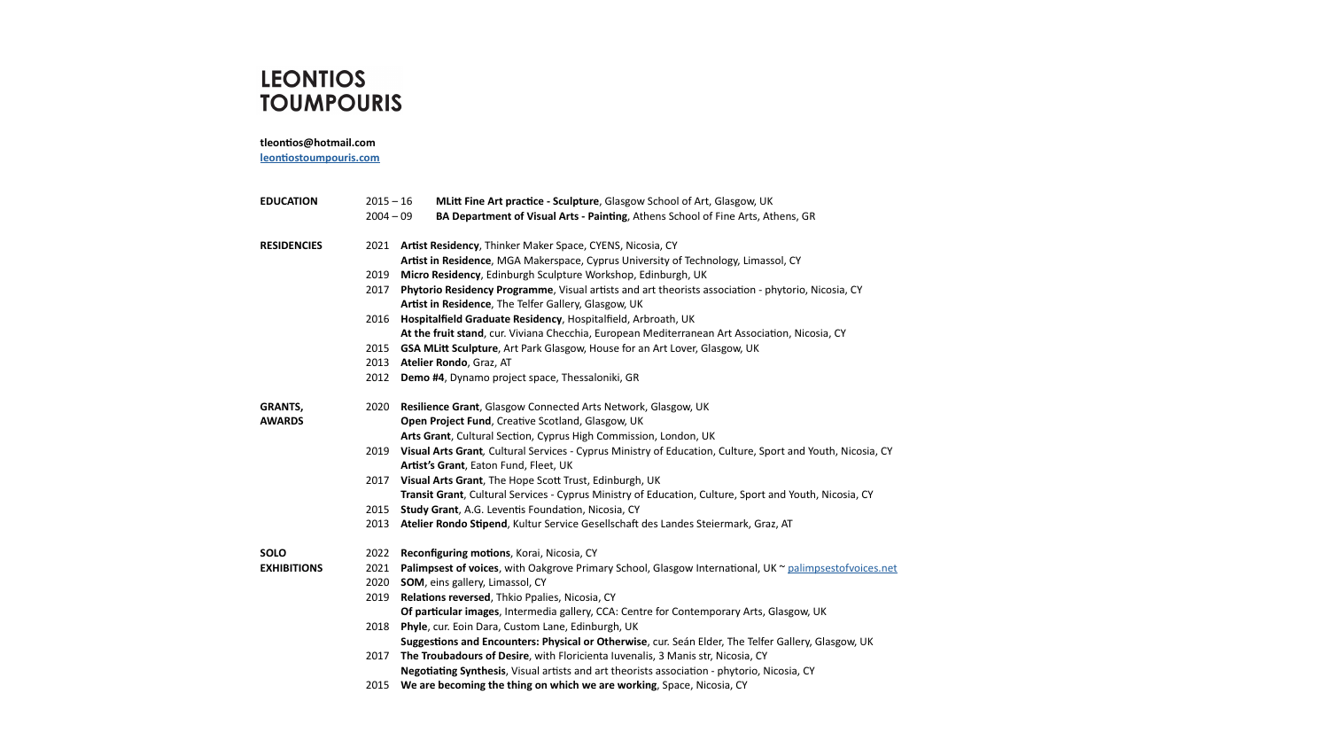## **LEONTIOS TOUMPOURIS**

**tleontios@hotmail.com**

**[leontiostoumpouris.com](https://www.leontiostoumpouris.com/)**

| <b>EDUCATION</b>   | $2015 - 16$ | MLitt Fine Art practice - Sculpture, Glasgow School of Art, Glasgow, UK                                                                                         |
|--------------------|-------------|-----------------------------------------------------------------------------------------------------------------------------------------------------------------|
|                    | $2004 - 09$ | BA Department of Visual Arts - Painting, Athens School of Fine Arts, Athens, GR                                                                                 |
| <b>RESIDENCIES</b> |             | 2021 Artist Residency, Thinker Maker Space, CYENS, Nicosia, CY                                                                                                  |
|                    |             | Artist in Residence, MGA Makerspace, Cyprus University of Technology, Limassol, CY                                                                              |
|                    | 2019        | Micro Residency, Edinburgh Sculpture Workshop, Edinburgh, UK                                                                                                    |
|                    |             | 2017 Phytorio Residency Programme, Visual artists and art theorists association - phytorio, Nicosia, CY<br>Artist in Residence, The Telfer Gallery, Glasgow, UK |
|                    | 2016        | Hospitalfield Graduate Residency, Hospitalfield, Arbroath, UK                                                                                                   |
|                    |             | At the fruit stand, cur. Viviana Checchia, European Mediterranean Art Association, Nicosia, CY                                                                  |
|                    |             | 2015 GSA MLitt Sculpture, Art Park Glasgow, House for an Art Lover, Glasgow, UK                                                                                 |
|                    |             | 2013 Atelier Rondo, Graz, AT                                                                                                                                    |
|                    |             | 2012 Demo #4, Dynamo project space, Thessaloniki, GR                                                                                                            |
| <b>GRANTS,</b>     |             | 2020 Resilience Grant, Glasgow Connected Arts Network, Glasgow, UK                                                                                              |
| <b>AWARDS</b>      |             | Open Project Fund, Creative Scotland, Glasgow, UK                                                                                                               |
|                    |             | Arts Grant, Cultural Section, Cyprus High Commission, London, UK                                                                                                |
|                    |             | 2019 Visual Arts Grant, Cultural Services - Cyprus Ministry of Education, Culture, Sport and Youth, Nicosia, CY<br>Artist's Grant, Eaton Fund, Fleet, UK        |
|                    |             | 2017 Visual Arts Grant, The Hope Scott Trust, Edinburgh, UK                                                                                                     |
|                    |             | Transit Grant, Cultural Services - Cyprus Ministry of Education, Culture, Sport and Youth, Nicosia, CY                                                          |
|                    | 2015        | Study Grant, A.G. Leventis Foundation, Nicosia, CY                                                                                                              |
|                    |             | 2013 Atelier Rondo Stipend, Kultur Service Gesellschaft des Landes Steiermark, Graz, AT                                                                         |
| <b>SOLO</b>        |             | 2022 Reconfiguring motions, Korai, Nicosia, CY                                                                                                                  |
| <b>EXHIBITIONS</b> |             | 2021 Palimpsest of voices, with Oakgrove Primary School, Glasgow International, UK ~ palimpsestofvoices.net                                                     |
|                    |             | 2020 SOM, eins gallery, Limassol, CY                                                                                                                            |
|                    | 2019        | Relations reversed, Thkio Ppalies, Nicosia, CY                                                                                                                  |
|                    |             | Of particular images, Intermedia gallery, CCA: Centre for Contemporary Arts, Glasgow, UK                                                                        |
|                    | 2018        | Phyle, cur. Eoin Dara, Custom Lane, Edinburgh, UK                                                                                                               |
|                    |             | Suggestions and Encounters: Physical or Otherwise, cur. Seán Elder, The Telfer Gallery, Glasgow, UK                                                             |
|                    | 2017        | The Troubadours of Desire, with Floricienta Iuvenalis, 3 Manis str, Nicosia, CY                                                                                 |
|                    |             | Negotiating Synthesis, Visual artists and art theorists association - phytorio, Nicosia, CY                                                                     |
|                    |             | 2015 We are becoming the thing on which we are working, Space, Nicosia, CY                                                                                      |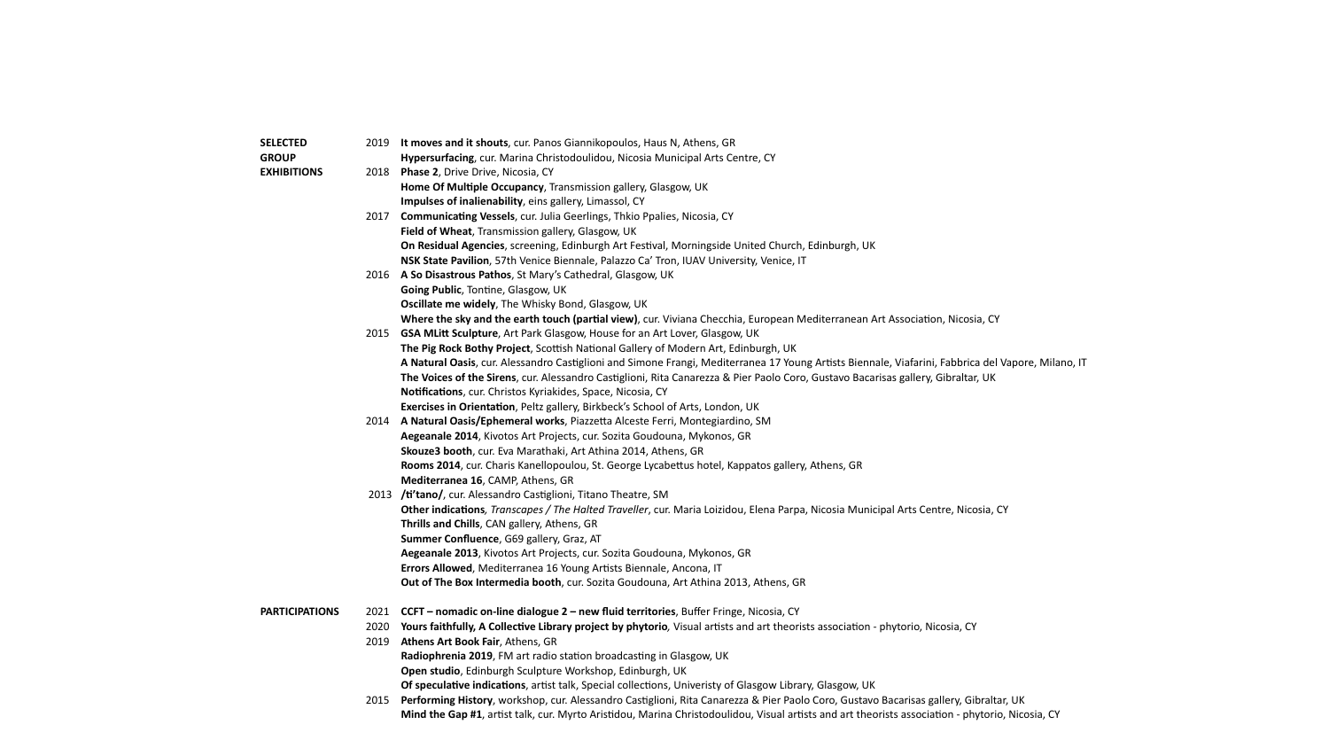| <b>SELECTED</b>       |      | 2019 It moves and it shouts, cur. Panos Giannikopoulos, Haus N, Athens, GR                                    |
|-----------------------|------|---------------------------------------------------------------------------------------------------------------|
| <b>GROUP</b>          |      | Hypersurfacing, cur. Marina Christodoulidou, Nicosia Municipal Arts Centre, CY                                |
| <b>EXHIBITIONS</b>    |      | 2018 Phase 2, Drive Drive, Nicosia, CY                                                                        |
|                       |      | Home Of Multiple Occupancy, Transmission gallery, Glasgow, UK                                                 |
|                       |      | Impulses of inalienability, eins gallery, Limassol, CY                                                        |
|                       |      | 2017 Communicating Vessels, cur. Julia Geerlings, Thkio Ppalies, Nicosia, CY                                  |
|                       |      | Field of Wheat, Transmission gallery, Glasgow, UK                                                             |
|                       |      | On Residual Agencies, screening, Edinburgh Art Festival, Morningside United Church, Edinburgh, UK             |
|                       |      | NSK State Pavilion, 57th Venice Biennale, Palazzo Ca' Tron, IUAV University, Venice, IT                       |
|                       | 2016 | A So Disastrous Pathos, St Mary's Cathedral, Glasgow, UK                                                      |
|                       |      | Going Public, Tontine, Glasgow, UK                                                                            |
|                       |      | Oscillate me widely, The Whisky Bond, Glasgow, UK                                                             |
|                       |      | Where the sky and the earth touch (partial view), cur. Viviana Checchia, European Mediterranean Art           |
|                       |      | 2015 GSA MLitt Sculpture, Art Park Glasgow, House for an Art Lover, Glasgow, UK                               |
|                       |      | The Pig Rock Bothy Project, Scottish National Gallery of Modern Art, Edinburgh, UK                            |
|                       |      | A Natural Oasis, cur. Alessandro Castiglioni and Simone Frangi, Mediterranea 17 Young Artists Biennale        |
|                       |      | The Voices of the Sirens, cur. Alessandro Castiglioni, Rita Canarezza & Pier Paolo Coro, Gustavo Bacarisa     |
|                       |      | Notifications, cur. Christos Kyriakides, Space, Nicosia, CY                                                   |
|                       |      | Exercises in Orientation, Peltz gallery, Birkbeck's School of Arts, London, UK                                |
|                       | 2014 | A Natural Oasis/Ephemeral works, Piazzetta Alceste Ferri, Montegiardino, SM                                   |
|                       |      | Aegeanale 2014, Kivotos Art Projects, cur. Sozita Goudouna, Mykonos, GR                                       |
|                       |      | Skouze3 booth, cur. Eva Marathaki, Art Athina 2014, Athens, GR                                                |
|                       |      | Rooms 2014, cur. Charis Kanellopoulou, St. George Lycabettus hotel, Kappatos gallery, Athens, GR              |
|                       |      | Mediterranea 16, CAMP, Athens, GR                                                                             |
|                       |      | 2013 /ti'tano/, cur. Alessandro Castiglioni, Titano Theatre, SM                                               |
|                       |      | Other indications, Transcapes / The Halted Traveller, cur. Maria Loizidou, Elena Parpa, Nicosia Municipa      |
|                       |      | Thrills and Chills, CAN gallery, Athens, GR                                                                   |
|                       |      | Summer Confluence, G69 gallery, Graz, AT                                                                      |
|                       |      | Aegeanale 2013, Kivotos Art Projects, cur. Sozita Goudouna, Mykonos, GR                                       |
|                       |      | Errors Allowed, Mediterranea 16 Young Artists Biennale, Ancona, IT                                            |
|                       |      | Out of The Box Intermedia booth, cur. Sozita Goudouna, Art Athina 2013, Athens, GR                            |
| <b>PARTICIPATIONS</b> | 2021 | CCFT - nomadic on-line dialogue 2 - new fluid territories, Buffer Fringe, Nicosia, CY                         |
|                       | 2020 | Yours faithfully, A Collective Library project by phytorio, Visual artists and art theorists association - ph |
|                       | 2019 | Athens Art Book Fair, Athens, GR                                                                              |
|                       |      | Radiophrenia 2019, FM art radio station broadcasting in Glasgow, UK                                           |
|                       |      | Open studio, Edinburgh Sculpture Workshop, Edinburgh, UK                                                      |
|                       |      | Of speculative indications, artist talk, Special collections, Univeristy of Glasgow Library, Glasgow, UK      |
|                       | 2015 | Performing History, workshop, cur. Alessandro Castiglioni, Rita Canarezza & Pier Paolo Coro, Gustavo B        |
|                       |      | Mind the Gap #1, artist talk, cur. Myrto Aristidou, Marina Christodoulidou, Visual artists and art theoris    |

t Association, Nicosia, CY

le, Viafarini, Fabbrica del Vapore, Milano, IT sas gallery, Gibraltar, UK

**Other indications***, Transcapes / The Halted Traveller*, cur. Maria Loizidou, Elena Parpa, Nicosia Municipal Arts Centre, Nicosia, CY

*2 Pollectio, Nicosia, CY* 

Bacarisas gallery, Gibraltar, UK **ists association - phytorio, Nicosia, CY**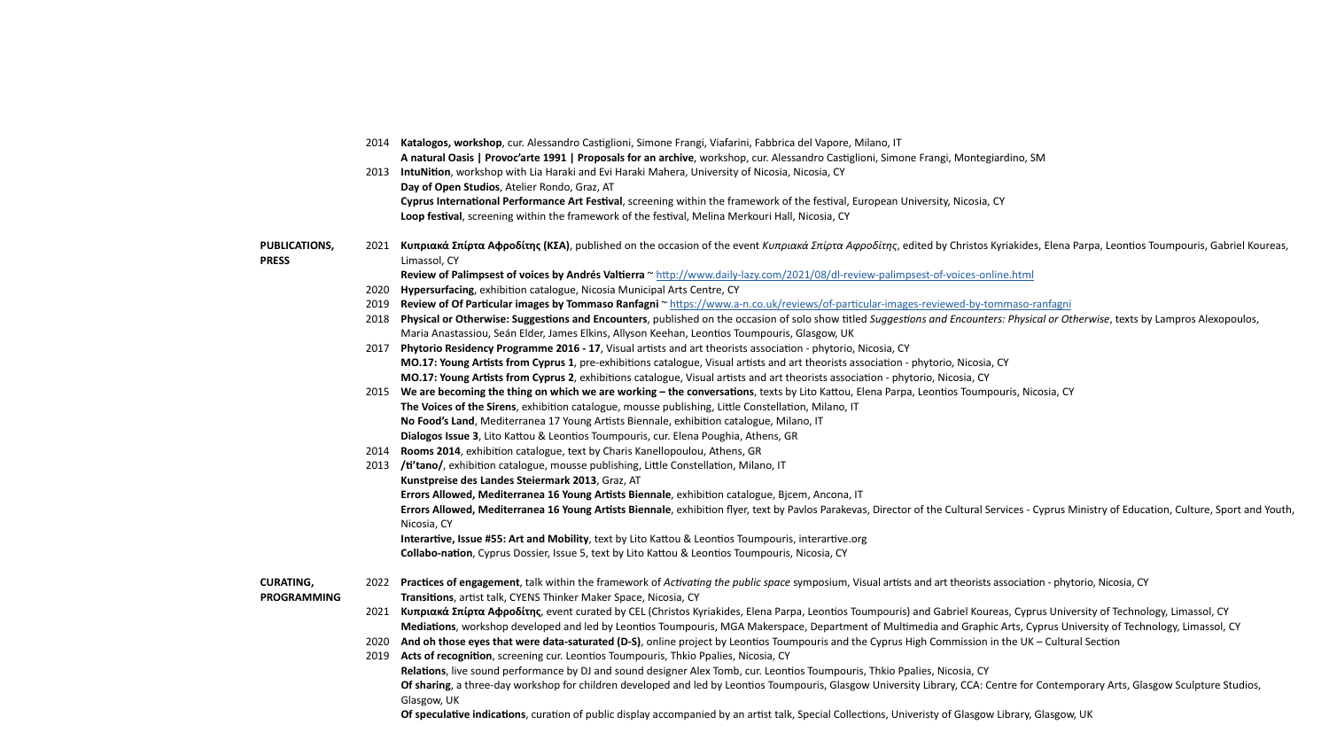|                                      | 2014 | Katalogos, workshop, cur. Alessandro Castiglioni, Simone Frangi, Viafarini, Fabbrica del Vapore, Milano, IT<br>A natural Oasis   Provoc'arte 1991   Proposals for an archive, workshop, cur. Alessandro Castiglioni, Simor    |
|--------------------------------------|------|-------------------------------------------------------------------------------------------------------------------------------------------------------------------------------------------------------------------------------|
|                                      | 2013 | IntuNition, workshop with Lia Haraki and Evi Haraki Mahera, University of Nicosia, Nicosia, CY<br>Day of Open Studios, Atelier Rondo, Graz, AT                                                                                |
|                                      |      | Cyprus International Performance Art Festival, screening within the framework of the festival, European U<br>Loop festival, screening within the framework of the festival, Melina Merkouri Hall, Nicosia, CY                 |
| <b>PUBLICATIONS,</b><br><b>PRESS</b> | 2021 | <b>Κυπριακά Σπίρτα Αφροδίτης (ΚΣΑ)</b> , published on the occasion of the event Κυπριακά Σπίρτα Αφροδίτης, e<br>Limassol, CY                                                                                                  |
|                                      |      | Review of Palimpsest of voices by Andrés Valtierra ~ http://www.daily-lazy.com/2021/08/dl-review-palimp                                                                                                                       |
|                                      | 2020 | Hypersurfacing, exhibition catalogue, Nicosia Municipal Arts Centre, CY                                                                                                                                                       |
|                                      | 2019 | Review of Of Particular images by Tommaso Ranfagni ~ https://www.a-n.co.uk/reviews/of-particular-imag                                                                                                                         |
|                                      | 2018 | Physical or Otherwise: Suggestions and Encounters, published on the occasion of solo show titled Suggesti                                                                                                                     |
|                                      | 2017 | Maria Anastassiou, Seán Elder, James Elkins, Allyson Keehan, Leontios Toumpouris, Glasgow, UK                                                                                                                                 |
|                                      |      | Phytorio Residency Programme 2016 - 17, Visual artists and art theorists association - phytorio, Nicosia, CY<br>MO.17: Young Artists from Cyprus 1, pre-exhibitions catalogue, Visual artists and art theorists association - |
|                                      |      | MO.17: Young Artists from Cyprus 2, exhibitions catalogue, Visual artists and art theorists association - phy                                                                                                                 |
|                                      | 2015 | We are becoming the thing on which we are working – the conversations, texts by Lito Kattou, Elena Parpa                                                                                                                      |
|                                      |      | The Voices of the Sirens, exhibition catalogue, mousse publishing, Little Constellation, Milano, IT                                                                                                                           |
|                                      |      | No Food's Land, Mediterranea 17 Young Artists Biennale, exhibition catalogue, Milano, IT                                                                                                                                      |
|                                      |      | Dialogos Issue 3, Lito Kattou & Leontios Toumpouris, cur. Elena Poughia, Athens, GR                                                                                                                                           |
|                                      | 2014 | Rooms 2014, exhibition catalogue, text by Charis Kanellopoulou, Athens, GR                                                                                                                                                    |
|                                      | 2013 | /ti'tano/, exhibition catalogue, mousse publishing, Little Constellation, Milano, IT                                                                                                                                          |
|                                      |      | Kunstpreise des Landes Steiermark 2013, Graz, AT                                                                                                                                                                              |
|                                      |      | Errors Allowed, Mediterranea 16 Young Artists Biennale, exhibition catalogue, Bjcem, Ancona, IT                                                                                                                               |
|                                      |      | Errors Allowed, Mediterranea 16 Young Artists Biennale, exhibition flyer, text by Pavlos Parakevas, Director                                                                                                                  |
|                                      |      | Nicosia, CY                                                                                                                                                                                                                   |
|                                      |      | Interartive, Issue #55: Art and Mobility, text by Lito Kattou & Leontios Toumpouris, interartive.org                                                                                                                          |
|                                      |      | Collabo-nation, Cyprus Dossier, Issue 5, text by Lito Kattou & Leontios Toumpouris, Nicosia, CY                                                                                                                               |
| <b>CURATING,</b>                     | 2022 | Practices of engagement, talk within the framework of Activating the public space symposium, Visual artists                                                                                                                   |
| <b>PROGRAMMING</b>                   |      | Transitions, artist talk, CYENS Thinker Maker Space, Nicosia, CY                                                                                                                                                              |
|                                      | 2021 | Κυπριακά Σπίρτα Αφροδίτης, event curated by CEL (Christos Kyriakides, Elena Parpa, Leontios Toumpouris)                                                                                                                       |
|                                      |      | Mediations, workshop developed and led by Leontios Toumpouris, MGA Makerspace, Department of Multi                                                                                                                            |
|                                      | 2020 | And oh those eyes that were data-saturated (D-S), online project by Leontios Toumpouris and the Cyprus H                                                                                                                      |
|                                      | 2019 | Acts of recognition, screening cur. Leontios Toumpouris, Thkio Ppalies, Nicosia, CY                                                                                                                                           |
|                                      |      | Relations, live sound performance by DJ and sound designer Alex Tomb, cur. Leontios Toumpouris, Thkio Pp                                                                                                                      |
|                                      |      | Of sharing, a three-day workshop for children developed and led by Leontios Toumpouris, Glasgow Univers<br>Glasgow, UK                                                                                                        |
|                                      |      | Of speculative indications, curation of public display accompanied by an artist talk, Special Collections, Uni                                                                                                                |

imone Frangi, Montegiardino, SM

**Pan University, Nicosia, CY** 

*n<sub>S</sub>*, edited by Christos Kyriakides, Elena Parpa, Leontios Toumpouris, Gabriel Koureas,

**Review of Palimpsest of voices by Andrés Valtierra** ~ <http://www.daily-lazy.com/2021/08/dl-review-palimpsest-of-voices-online.html>

 2019 **Review of Of Particular images by Tommaso Ranfagni** ~ [https://www.a-n.co.uk/reviews/of-particular-images-reviewed-by-tommaso-ranfagni](https://www.a-n.co.uk/reviews/of-particular-images-reviewed-by-tommaso-ranfagni/) 2018 **Physical or Otherwise: Suggestions and Encounters**, published on the occasion of solo show titled *Suggestions and Encounters: Physical or Otherwise*, texts by Lampros Alexopoulos,

 $\mathsf{ion}$  - phytorio, Nicosia, CY - phytorio, Nicosia, CY **Parpa, Leontios Toumpouris, Nicosia, CY** 

**Ector of the Cultural Services - Cyprus Ministry of Education, Culture, Sport and Youth,** 

**CURATING,** 2022 **Practices of engagement**, talk within the framework of *Activating the public space* symposium, Visual artists and art theorists association - phytorio, Nicosia, CY

*buris*) and Gabriel Koureas, Cyprus University of Technology, Limassol, CY Multimedia and Graphic Arts, Cyprus University of Technology, Limassol, CY **Prus High Commission in the UK – Cultural Section** 

**Relations**, Nicosia, CY iversity Library, CCA: Centre for Contemporary Arts, Glasgow Sculpture Studios,

, Univeristy of Glasgow Library, Glasgow, UK